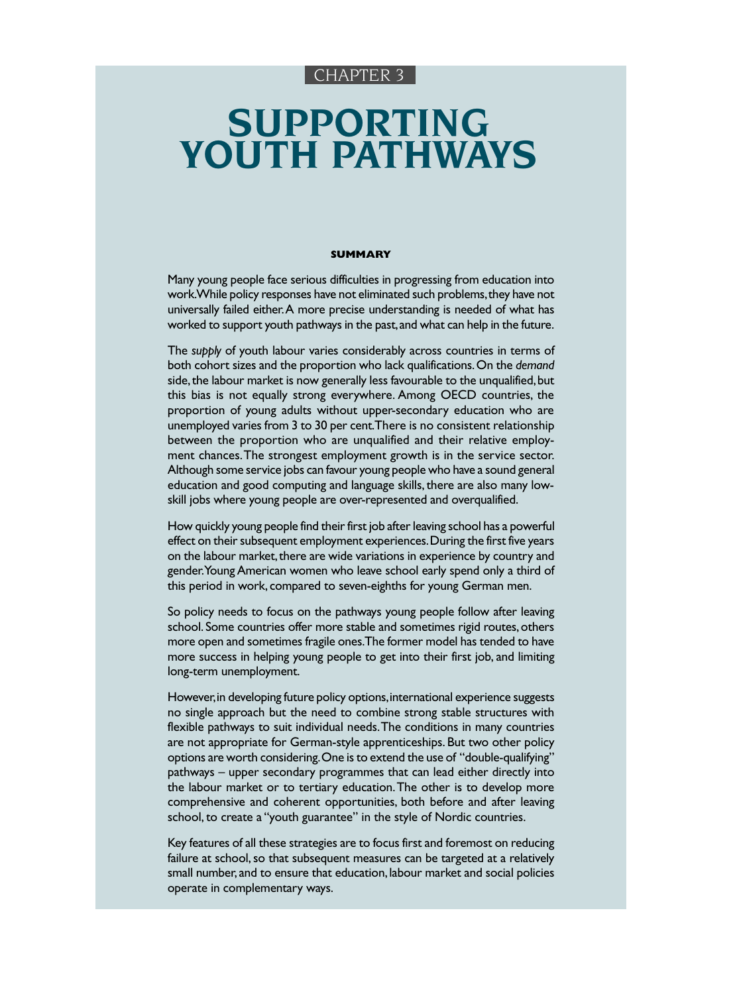# CHAPTER 3

# **SUPPORTING YOUTH PATHWAYS**

#### **SUMMARY**

Many young people face serious difficulties in progressing from education into work. While policy responses have not eliminated such problems, they have not universally failed either. A more precise understanding is needed of what has worked to support youth pathways in the past, and what can help in the future.

The *supply* of youth labour varies considerably across countries in terms of both cohort sizes and the proportion who lack qualifications. On the *demand* side, the labour market is now generally less favourable to the unqualified, but this bias is not equally strong everywhere. Among OECD countries, the proportion of young adults without upper-secondary education who are unemployed varies from 3 to 30 per cent. There is no consistent relationship between the proportion who are unqualified and their relative employment chances. The strongest employment growth is in the service sector. Although some service jobs can favour young people who have a sound general education and good computing and language skills, there are also many lowskill jobs where young people are over-represented and overqualified.

How quickly young people find their first job after leaving school has a powerful effect on their subsequent employment experiences. During the first five years on the labour market, there are wide variations in experience by country and gender. Young American women who leave school early spend only a third of this period in work, compared to seven-eighths for young German men.

So policy needs to focus on the pathways young people follow after leaving school. Some countries offer more stable and sometimes rigid routes, others more open and sometimes fragile ones. The former model has tended to have more success in helping young people to get into their first job, and limiting long-term unemployment.

However, in developing future policy options, international experience suggests no single approach but the need to combine strong stable structures with flexible pathways to suit individual needs. The conditions in many countries are not appropriate for German-style apprenticeships. But two other policy options are worth considering. One is to extend the use of "double-qualifying" pathways – upper secondary programmes that can lead either directly into the labour market or to tertiary education. The other is to develop more comprehensive and coherent opportunities, both before and after leaving school, to create a "youth guarantee" in the style of Nordic countries.

Key features of all these strategies are to focus first and foremost on reducing failure at school, so that subsequent measures can be targeted at a relatively small number, and to ensure that education, labour market and social policies operate in complementary ways.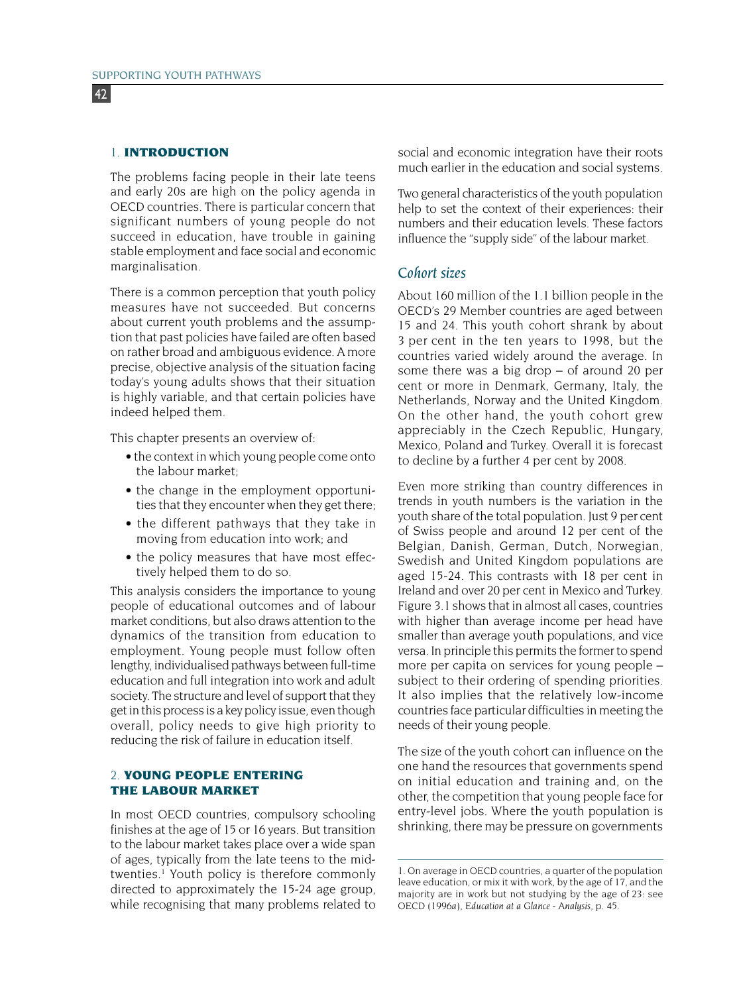#### 1. **INTRODUCTION**

The problems facing people in their late teens and early 20s are high on the policy agenda in OECD countries. There is particular concern that significant numbers of young people do not succeed in education, have trouble in gaining stable employment and face social and economic marginalisation.

There is a common perception that youth policy measures have not succeeded. But concerns about current youth problems and the assumption that past policies have failed are often based on rather broad and ambiguous evidence. A more precise, objective analysis of the situation facing today's young adults shows that their situation is highly variable, and that certain policies have indeed helped them.

This chapter presents an overview of:

- the context in which young people come onto the labour market;
- the change in the employment opportunities that they encounter when they get there;
- the different pathways that they take in moving from education into work; and
- the policy measures that have most effectively helped them to do so.

This analysis considers the importance to young people of educational outcomes and of labour market conditions, but also draws attention to the dynamics of the transition from education to employment. Young people must follow often lengthy, individualised pathways between full-time education and full integration into work and adult society. The structure and level of support that they get in this process is a key policy issue, even though overall, policy needs to give high priority to reducing the risk of failure in education itself.

# 2. **YOUNG PEOPLE ENTERING THE LABOUR MARKET**

In most OECD countries, compulsory schooling finishes at the age of 15 or 16 years. But transition to the labour market takes place over a wide span of ages, typically from the late teens to the midtwenties.1 Youth policy is therefore commonly directed to approximately the 15-24 age group, while recognising that many problems related to social and economic integration have their roots much earlier in the education and social systems.

Two general characteristics of the youth population help to set the context of their experiences: their numbers and their education levels. These factors influence the "supply side" of the labour market.

# *Cohort sizes*

About 160 million of the 1.1 billion people in the OECD's 29 Member countries are aged between 15 and 24. This youth cohort shrank by about 3 per cent in the ten years to 1998, but the countries varied widely around the average. In some there was a big drop – of around 20 per cent or more in Denmark, Germany, Italy, the Netherlands, Norway and the United Kingdom. On the other hand, the youth cohort grew appreciably in the Czech Republic, Hungary, Mexico, Poland and Turkey. Overall it is forecast to decline by a further 4 per cent by 2008.

Even more striking than country differences in trends in youth numbers is the variation in the youth share of the total population. Just 9 per cent of Swiss people and around 12 per cent of the Belgian, Danish, German, Dutch, Norwegian, Swedish and United Kingdom populations are aged 15-24. This contrasts with 18 per cent in Ireland and over 20 per cent in Mexico and Turkey. Figure 3.1 shows that in almost all cases, countries with higher than average income per head have smaller than average youth populations, and vice versa. In principle this permits the former to spend more per capita on services for young people – subject to their ordering of spending priorities. It also implies that the relatively low-income countries face particular difficulties in meeting the needs of their young people.

The size of the youth cohort can influence on the one hand the resources that governments spend on initial education and training and, on the other, the competition that young people face for entry-level jobs. Where the youth population is shrinking, there may be pressure on governments

<sup>1.</sup> On average in OECD countries, a quarter of the population leave education, or mix it with work, by the age of 17, and the majority are in work but not studying by the age of 23: see *OECD (1996a), Education at a Glance - Analysis*, p. 45.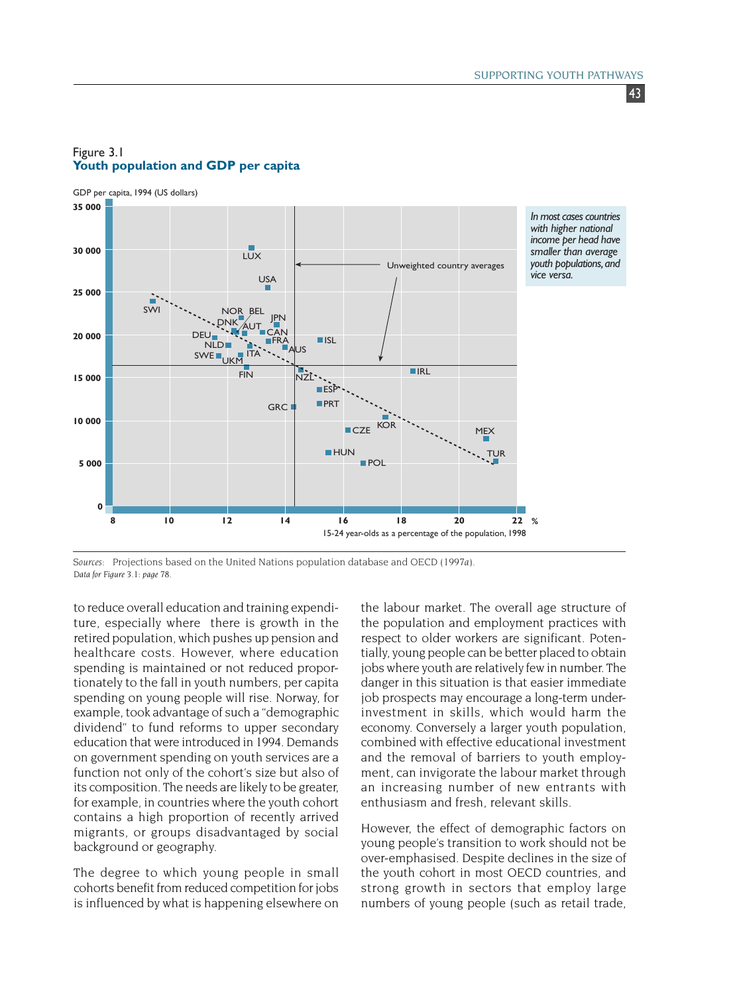

## Figure 3.1 **Youth population and GDP per capita**

*Sources:* Projections based on the United Nations population database and OECD (1997*a*). *Data for Figure 3.1: page 78.*

to reduce overall education and training expenditure, especially where there is growth in the retired population, which pushes up pension and healthcare costs. However, where education spending is maintained or not reduced proportionately to the fall in youth numbers, per capita spending on young people will rise. Norway, for example, took advantage of such a "demographic dividend" to fund reforms to upper secondary education that were introduced in 1994. Demands on government spending on youth services are a function not only of the cohort's size but also of its composition. The needs are likely to be greater, for example, in countries where the youth cohort contains a high proportion of recently arrived migrants, or groups disadvantaged by social background or geography.

The degree to which young people in small cohorts benefit from reduced competition for jobs is influenced by what is happening elsewhere on

the labour market. The overall age structure of the population and employment practices with respect to older workers are significant. Potentially, young people can be better placed to obtain jobs where youth are relatively few in number. The danger in this situation is that easier immediate job prospects may encourage a long-term underinvestment in skills, which would harm the economy. Conversely a larger youth population, combined with effective educational investment and the removal of barriers to youth employment, can invigorate the labour market through an increasing number of new entrants with enthusiasm and fresh, relevant skills.

However, the effect of demographic factors on young people's transition to work should not be over-emphasised. Despite declines in the size of the youth cohort in most OECD countries, and strong growth in sectors that employ large numbers of young people (such as retail trade,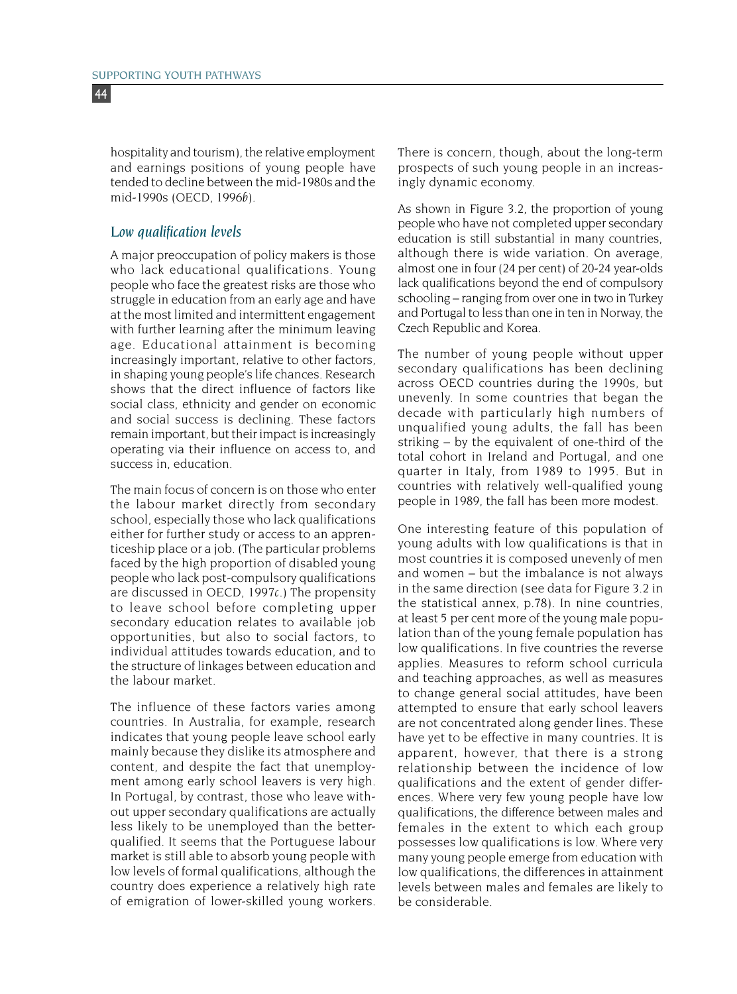hospitality and tourism), the relative employment and earnings positions of young people have tended to decline between the mid-1980s and the mid-1990s (OECD, 1996*b*).

# *Low qualification levels*

A major preoccupation of policy makers is those who lack educational qualifications. Young people who face the greatest risks are those who struggle in education from an early age and have at the most limited and intermittent engagement with further learning after the minimum leaving age. Educational attainment is becoming increasingly important, relative to other factors, in shaping young people's life chances. Research shows that the direct influence of factors like social class, ethnicity and gender on economic and social success is declining. These factors remain important, but their impact is increasingly operating via their influence on access to, and success in, education.

The main focus of concern is on those who enter the labour market directly from secondary school, especially those who lack qualifications either for further study or access to an apprenticeship place or a job. (The particular problems faced by the high proportion of disabled young people who lack post-compulsory qualifications are discussed in OECD, 1997*c.*) The propensity to leave school before completing upper secondary education relates to available job opportunities, but also to social factors, to individual attitudes towards education, and to the structure of linkages between education and the labour market.

The influence of these factors varies among countries. In Australia, for example, research indicates that young people leave school early mainly because they dislike its atmosphere and content, and despite the fact that unemployment among early school leavers is very high. In Portugal, by contrast, those who leave without upper secondary qualifications are actually less likely to be unemployed than the betterqualified. It seems that the Portuguese labour market is still able to absorb young people with low levels of formal qualifications, although the country does experience a relatively high rate of emigration of lower-skilled young workers.

There is concern, though, about the long-term prospects of such young people in an increasingly dynamic economy.

As shown in Figure 3.2, the proportion of young people who have not completed upper secondary education is still substantial in many countries, although there is wide variation. On average, almost one in four (24 per cent) of 20-24 year-olds lack qualifications beyond the end of compulsory schooling – ranging from over one in two in Turkey and Portugal to less than one in ten in Norway, the Czech Republic and Korea.

The number of young people without upper secondary qualifications has been declining across OECD countries during the 1990s, but unevenly. In some countries that began the decade with particularly high numbers of unqualified young adults, the fall has been striking – by the equivalent of one-third of the total cohort in Ireland and Portugal, and one quarter in Italy, from 1989 to 1995. But in countries with relatively well-qualified young people in 1989, the fall has been more modest.

One interesting feature of this population of young adults with low qualifications is that in most countries it is composed unevenly of men and women – but the imbalance is not always in the same direction (see data for Figure 3.2 in the statistical annex, p.78). In nine countries, at least 5 per cent more of the young male population than of the young female population has low qualifications. In five countries the reverse applies. Measures to reform school curricula and teaching approaches, as well as measures to change general social attitudes, have been attempted to ensure that early school leavers are not concentrated along gender lines. These have yet to be effective in many countries. It is apparent, however, that there is a strong relationship between the incidence of low qualifications and the extent of gender differences. Where very few young people have low qualifications, the difference between males and females in the extent to which each group possesses low qualifications is low. Where very many young people emerge from education with low qualifications, the differences in attainment levels between males and females are likely to be considerable.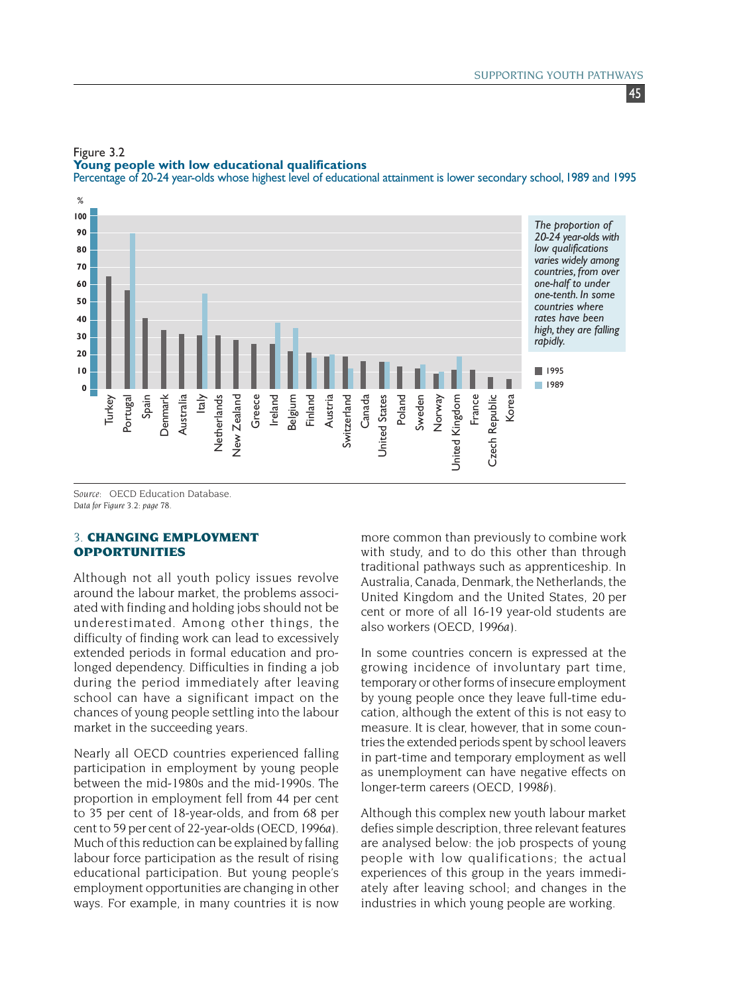## Figure 3.2 **Young people with low educational qualifications**

Percentage of 20-24 year-olds whose highest level of educational attainment is lower secondary school, 1989 and 1995



*Source:* OECD Education Database. *Data for Figure 3.2: page 78.*

## 3. **CHANGING EMPLOYMENT OPPORTUNITIES**

Although not all youth policy issues revolve around the labour market, the problems associated with finding and holding jobs should not be underestimated. Among other things, the difficulty of finding work can lead to excessively extended periods in formal education and prolonged dependency. Difficulties in finding a job during the period immediately after leaving school can have a significant impact on the chances of young people settling into the labour market in the succeeding years.

Nearly all OECD countries experienced falling participation in employment by young people between the mid-1980s and the mid-1990s. The proportion in employment fell from 44 per cent to 35 per cent of 18-year-olds, and from 68 per cent to 59 per cent of 22-year-olds (OECD, 1996*a*). Much of this reduction can be explained by falling labour force participation as the result of rising educational participation. But young people's employment opportunities are changing in other ways. For example, in many countries it is now

more common than previously to combine work with study, and to do this other than through traditional pathways such as apprenticeship. In Australia, Canada, Denmark, the Netherlands, the United Kingdom and the United States, 20 per cent or more of all 16-19 year-old students are also workers (OECD, 1996*a*).

In some countries concern is expressed at the growing incidence of involuntary part time, temporary or other forms of insecure employment by young people once they leave full-time education, although the extent of this is not easy to measure. It is clear, however, that in some countries the extended periods spent by school leavers in part-time and temporary employment as well as unemployment can have negative effects on longer-term careers (OECD, 1998*b*).

Although this complex new youth labour market defies simple description, three relevant features are analysed below: the job prospects of young people with low qualifications; the actual experiences of this group in the years immediately after leaving school; and changes in the industries in which young people are working.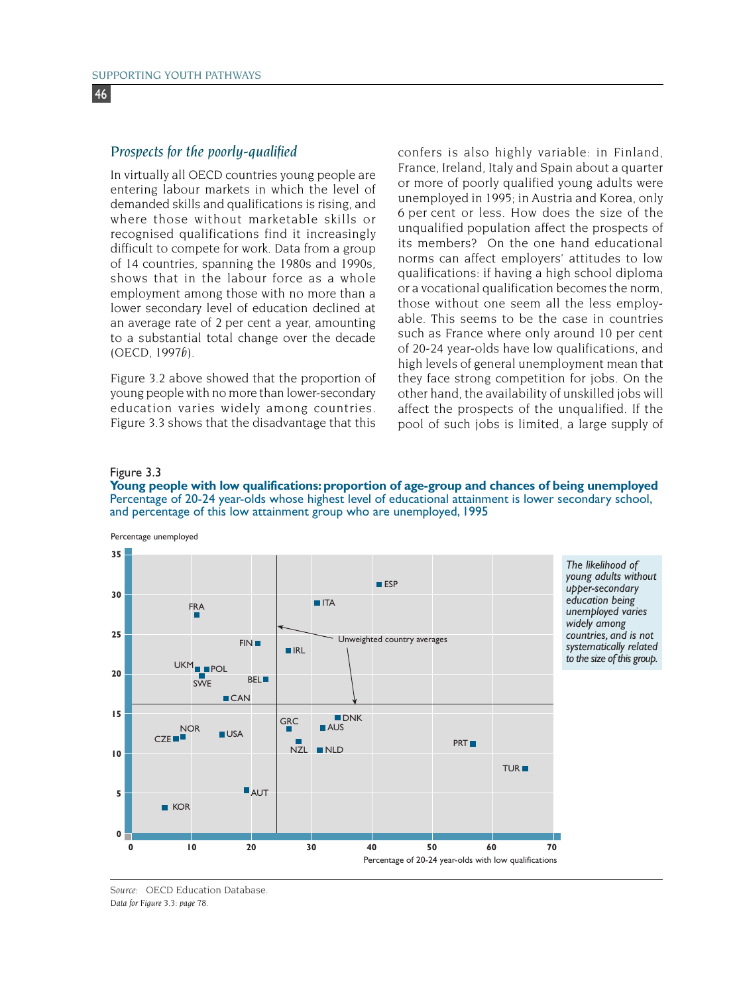# *Prospects for the poorly-qualified*

In virtually all OECD countries young people are entering labour markets in which the level of demanded skills and qualifications is rising, and where those without marketable skills or recognised qualifications find it increasingly difficult to compete for work. Data from a group of 14 countries, spanning the 1980s and 1990s, shows that in the labour force as a whole employment among those with no more than a lower secondary level of education declined at an average rate of 2 per cent a year, amounting to a substantial total change over the decade (OECD, 1997*b*).

Figure 3.2 above showed that the proportion of young people with no more than lower-secondary education varies widely among countries. Figure 3.3 shows that the disadvantage that this confers is also highly variable: in Finland, France, Ireland, Italy and Spain about a quarter or more of poorly qualified young adults were unemployed in 1995; in Austria and Korea, only 6 per cent or less. How does the size of the unqualified population affect the prospects of its members? On the one hand educational norms can affect employers' attitudes to low qualifications: if having a high school diploma or a vocational qualification becomes the norm, those without one seem all the less employable. This seems to be the case in countries such as France where only around 10 per cent of 20-24 year-olds have low qualifications, and high levels of general unemployment mean that they face strong competition for jobs. On the other hand, the availability of unskilled jobs will affect the prospects of the unqualified. If the pool of such jobs is limited, a large supply of

#### Figure 3.3





*Source:* OECD Education Database. *Data for Figure 3.3: page 78.*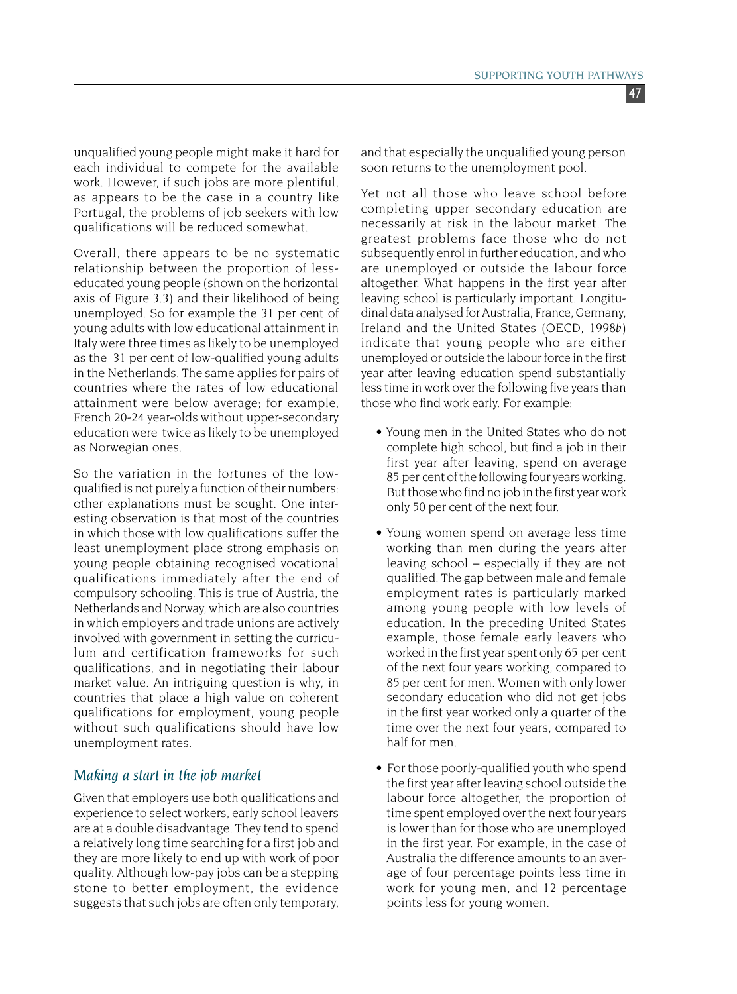unqualified young people might make it hard for each individual to compete for the available work. However, if such jobs are more plentiful, as appears to be the case in a country like Portugal, the problems of job seekers with low qualifications will be reduced somewhat.

Overall, there appears to be no systematic relationship between the proportion of lesseducated young people (shown on the horizontal axis of Figure 3.3) and their likelihood of being unemployed. So for example the 31 per cent of young adults with low educational attainment in Italy were three times as likely to be unemployed as the 31 per cent of low-qualified young adults in the Netherlands. The same applies for pairs of countries where the rates of low educational attainment were below average; for example, French 20-24 year-olds without upper-secondary education were twice as likely to be unemployed as Norwegian ones.

So the variation in the fortunes of the lowqualified is not purely a function of their numbers: other explanations must be sought. One interesting observation is that most of the countries in which those with low qualifications suffer the least unemployment place strong emphasis on young people obtaining recognised vocational qualifications immediately after the end of compulsory schooling. This is true of Austria, the Netherlands and Norway, which are also countries in which employers and trade unions are actively involved with government in setting the curriculum and certification frameworks for such qualifications, and in negotiating their labour market value. An intriguing question is why, in countries that place a high value on coherent qualifications for employment, young people without such qualifications should have low unemployment rates.

# *Making a start in the job market*

Given that employers use both qualifications and experience to select workers, early school leavers are at a double disadvantage. They tend to spend a relatively long time searching for a first job and they are more likely to end up with work of poor quality. Although low-pay jobs can be a stepping stone to better employment, the evidence suggests that such jobs are often only temporary, and that especially the unqualified young person soon returns to the unemployment pool.

Yet not all those who leave school before completing upper secondary education are necessarily at risk in the labour market. The greatest problems face those who do not subsequently enrol in further education, and who are unemployed or outside the labour force altogether. What happens in the first year after leaving school is particularly important. Longitudinal data analysed for Australia, France, Germany, Ireland and the United States (OECD, 1998*b*) indicate that young people who are either unemployed or outside the labour force in the first year after leaving education spend substantially less time in work over the following five years than those who find work early. For example:

- Young men in the United States who do not complete high school, but find a job in their first year after leaving, spend on average 85 per cent of the following four years working. But those who find no job in the first year work only 50 per cent of the next four.
- Young women spend on average less time working than men during the years after leaving school – especially if they are not qualified. The gap between male and female employment rates is particularly marked among young people with low levels of education. In the preceding United States example, those female early leavers who worked in the first year spent only 65 per cent of the next four years working, compared to 85 per cent for men. Women with only lower secondary education who did not get jobs in the first year worked only a quarter of the time over the next four years, compared to half for men.
- For those poorly-qualified youth who spend the first year after leaving school outside the labour force altogether, the proportion of time spent employed over the next four years is lower than for those who are unemployed in the first year. For example, in the case of Australia the difference amounts to an average of four percentage points less time in work for young men, and 12 percentage points less for young women.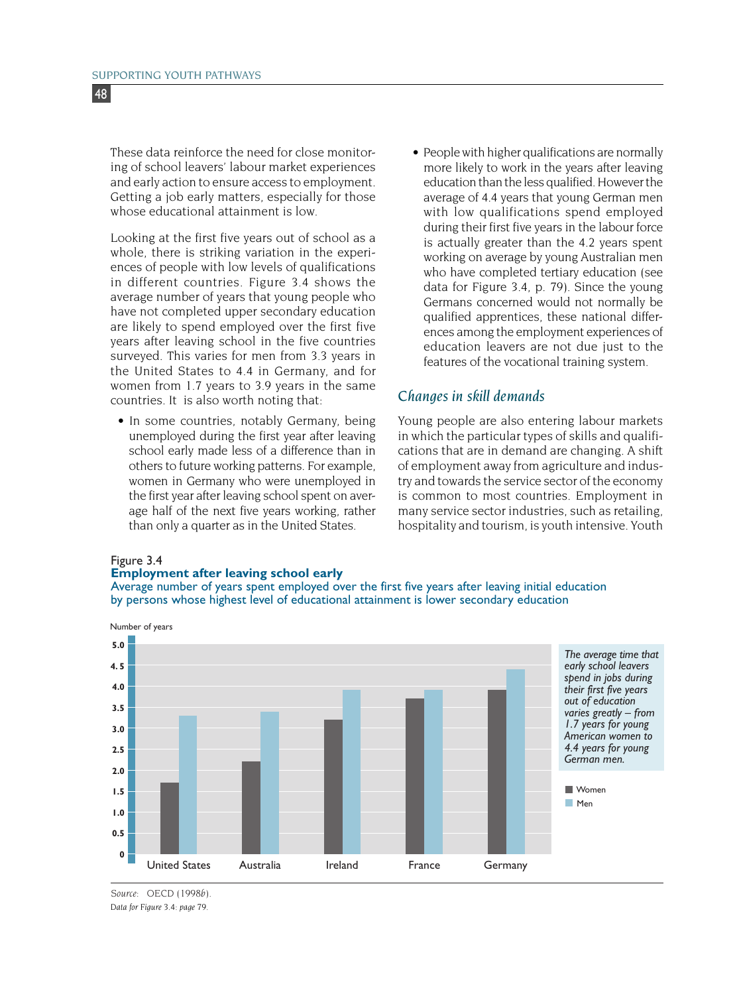These data reinforce the need for close monitoring of school leavers' labour market experiences and early action to ensure access to employment. Getting a job early matters, especially for those whose educational attainment is low.

Looking at the first five years out of school as a whole, there is striking variation in the experiences of people with low levels of qualifications in different countries. Figure 3.4 shows the average number of years that young people who have not completed upper secondary education are likely to spend employed over the first five years after leaving school in the five countries surveyed. This varies for men from 3.3 years in the United States to 4.4 in Germany, and for women from 1.7 years to 3.9 years in the same countries. It is also worth noting that:

- In some countries, notably Germany, being unemployed during the first year after leaving school early made less of a difference than in others to future working patterns. For example, women in Germany who were unemployed in the first year after leaving school spent on average half of the next five years working, rather than only a quarter as in the United States.
- People with higher qualifications are normally more likely to work in the years after leaving education than the less qualified. However the average of 4.4 years that young German men with low qualifications spend employed during their first five years in the labour force is actually greater than the 4.2 years spent working on average by young Australian men who have completed tertiary education (see data for Figure 3.4, p. 79). Since the young Germans concerned would not normally be qualified apprentices, these national differences among the employment experiences of education leavers are not due just to the features of the vocational training system.

# *Changes in skill demands*

Young people are also entering labour markets in which the particular types of skills and qualifications that are in demand are changing. A shift of employment away from agriculture and industry and towards the service sector of the economy is common to most countries. Employment in many service sector industries, such as retailing, hospitality and tourism, is youth intensive. Youth

# Figure 3.4 **Employment after leaving school early**

Average number of years spent employed over the first five years after leaving initial education by persons whose highest level of educational attainment is lower secondary education



*Source:* OECD (1998*b*). *Data for Figure 3.4: page 79.*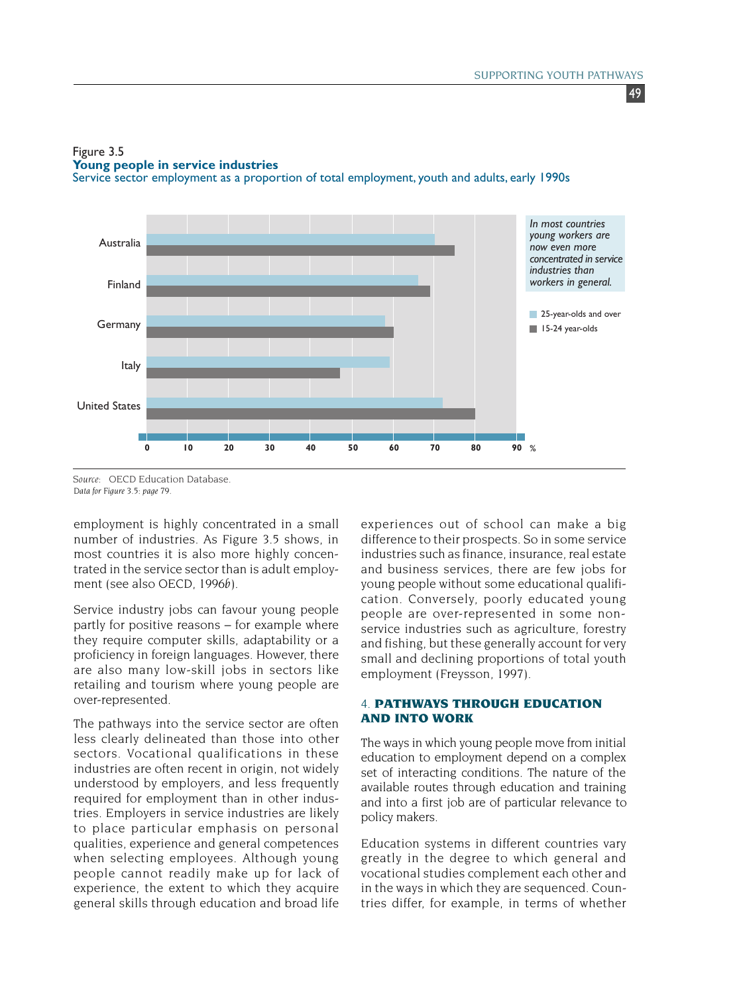



*Source:* OECD Education Database. *Data for Figure 3.5: page 79.*

employment is highly concentrated in a small number of industries. As Figure 3.5 shows, in most countries it is also more highly concentrated in the service sector than is adult employment (see also OECD, 1996*b*).

Service industry jobs can favour young people partly for positive reasons – for example where they require computer skills, adaptability or a proficiency in foreign languages. However, there are also many low-skill jobs in sectors like retailing and tourism where young people are over-represented.

The pathways into the service sector are often less clearly delineated than those into other sectors. Vocational qualifications in these industries are often recent in origin, not widely understood by employers, and less frequently required for employment than in other industries. Employers in service industries are likely to place particular emphasis on personal qualities, experience and general competences when selecting employees. Although young people cannot readily make up for lack of experience, the extent to which they acquire general skills through education and broad life experiences out of school can make a big difference to their prospects. So in some service industries such as finance, insurance, real estate and business services, there are few jobs for young people without some educational qualification. Conversely, poorly educated young people are over-represented in some nonservice industries such as agriculture, forestry and fishing, but these generally account for very small and declining proportions of total youth employment (Freysson, 1997).

# 4. **PATHWAYS THROUGH EDUCATION AND INTO WORK**

The ways in which young people move from initial education to employment depend on a complex set of interacting conditions. The nature of the available routes through education and training and into a first job are of particular relevance to policy makers.

Education systems in different countries vary greatly in the degree to which general and vocational studies complement each other and in the ways in which they are sequenced. Countries differ, for example, in terms of whether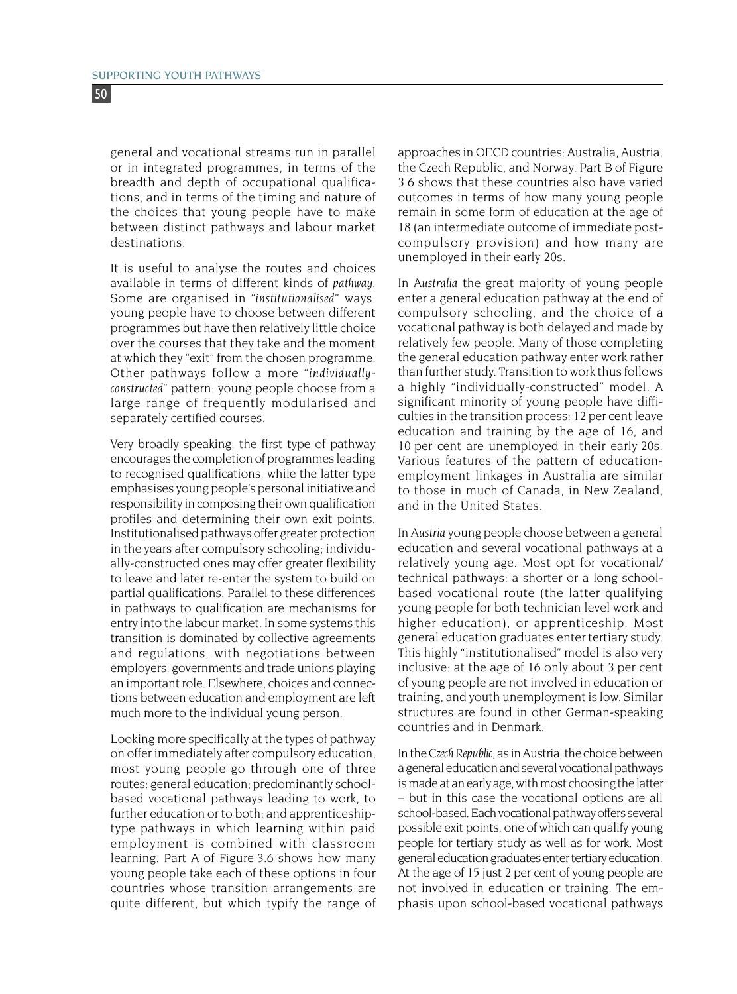general and vocational streams run in parallel or in integrated programmes, in terms of the breadth and depth of occupational qualifications, and in terms of the timing and nature of the choices that young people have to make between distinct pathways and labour market destinations.

It is useful to analyse the routes and choices available in terms of different kinds of *pathway.* Some are organised in "*institutionalised"* ways: young people have to choose between different programmes but have then relatively little choice over the courses that they take and the moment at which they "exit" from the chosen programme. Other pathways follow a more "*individuallyconstructed"* pattern: young people choose from a large range of frequently modularised and separately certified courses.

Very broadly speaking, the first type of pathway encourages the completion of programmes leading to recognised qualifications, while the latter type emphasises young people's personal initiative and responsibility in composing their own qualification profiles and determining their own exit points. Institutionalised pathways offer greater protection in the years after compulsory schooling; individually-constructed ones may offer greater flexibility to leave and later re-enter the system to build on partial qualifications. Parallel to these differences in pathways to qualification are mechanisms for entry into the labour market. In some systems this transition is dominated by collective agreements and regulations, with negotiations between employers, governments and trade unions playing an important role. Elsewhere, choices and connections between education and employment are left much more to the individual young person.

Looking more specifically at the types of pathway on offer immediately after compulsory education, most young people go through one of three routes: general education; predominantly schoolbased vocational pathways leading to work, to further education or to both; and apprenticeshiptype pathways in which learning within paid employment is combined with classroom learning. Part A of Figure 3.6 shows how many young people take each of these options in four countries whose transition arrangements are quite different, but which typify the range of approaches in OECD countries: Australia, Austria, the Czech Republic, and Norway. Part B of Figure 3.6 shows that these countries also have varied outcomes in terms of how many young people remain in some form of education at the age of 18 (an intermediate outcome of immediate postcompulsory provision) and how many are unemployed in their early 20s.

In *Australia* the great majority of young people enter a general education pathway at the end of compulsory schooling, and the choice of a vocational pathway is both delayed and made by relatively few people. Many of those completing the general education pathway enter work rather than further study. Transition to work thus follows a highly "individually-constructed" model. A significant minority of young people have difficulties in the transition process: 12 per cent leave education and training by the age of 16, and 10 per cent are unemployed in their early 20s. Various features of the pattern of educationemployment linkages in Australia are similar to those in much of Canada, in New Zealand, and in the United States.

In *Austria* young people choose between a general education and several vocational pathways at a relatively young age. Most opt for vocational/ technical pathways: a shorter or a long schoolbased vocational route (the latter qualifying young people for both technician level work and higher education), or apprenticeship. Most general education graduates enter tertiary study. This highly "institutionalised" model is also very inclusive: at the age of 16 only about 3 per cent of young people are not involved in education or training, and youth unemployment is low. Similar structures are found in other German-speaking countries and in Denmark.

In the *Czech Republic*, as in Austria, the choice between a general education and several vocational pathways is made at an early age, with most choosing the latter – but in this case the vocational options are all school-based. Each vocational pathway offers several possible exit points, one of which can qualify young people for tertiary study as well as for work. Most general education graduates enter tertiary education. At the age of 15 just 2 per cent of young people are not involved in education or training. The emphasis upon school-based vocational pathways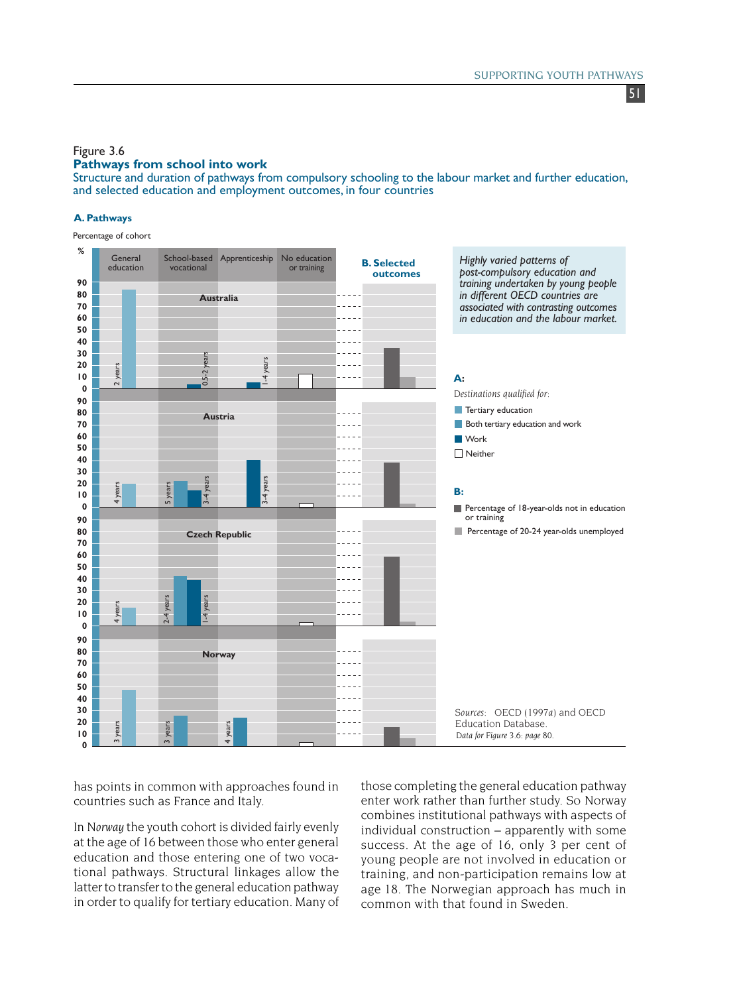# Figure 3.6 **Pathways from school into work**

Structure and duration of pathways from compulsory schooling to the labour market and further education, and selected education and employment outcomes, in four countries

#### **A. Pathways**



has points in common with approaches found in countries such as France and Italy.

In *Norway* the youth cohort is divided fairly evenly at the age of 16 between those who enter general education and those entering one of two vocational pathways. Structural linkages allow the latter to transfer to the general education pathway in order to qualify for tertiary education. Many of those completing the general education pathway enter work rather than further study. So Norway combines institutional pathways with aspects of individual construction – apparently with some success. At the age of 16, only 3 per cent of young people are not involved in education or training, and non-participation remains low at age 18. The Norwegian approach has much in common with that found in Sweden.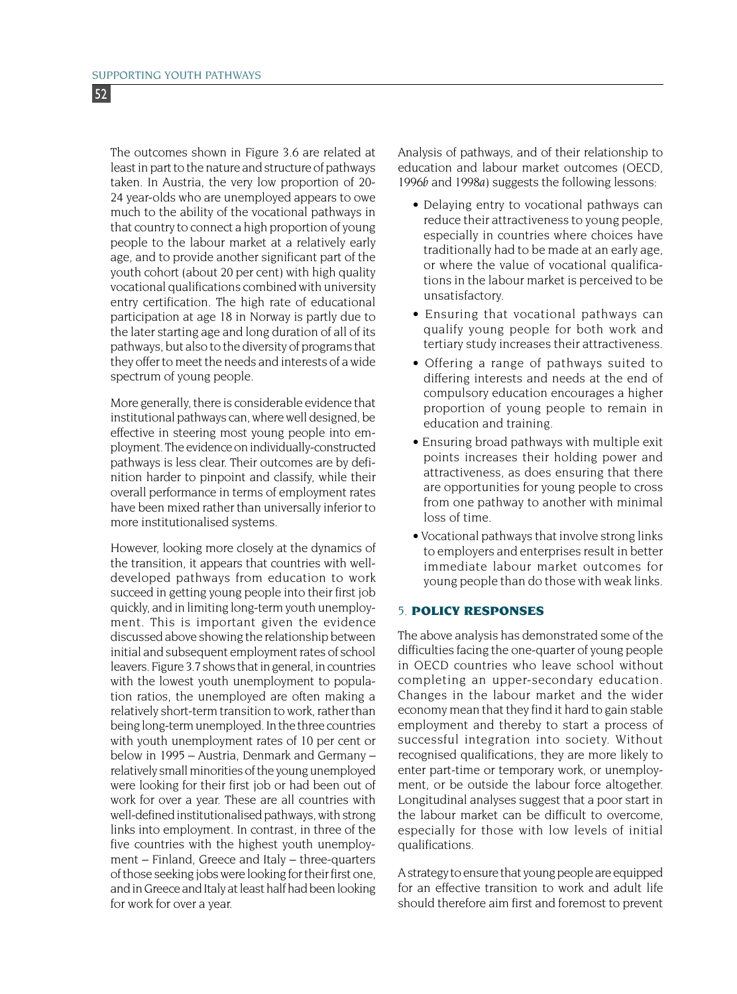The outcomes shown in Figure 3.6 are related at least in part to the nature and structure of pathways taken. In Austria, the very low proportion of 20- 24 year-olds who are unemployed appears to owe much to the ability of the vocational pathways in that country to connect a high proportion of young people to the labour market at a relatively early age, and to provide another significant part of the youth cohort (about 20 per cent) with high quality vocational qualifications combined with university entry certification. The high rate of educational participation at age 18 in Norway is partly due to the later starting age and long duration of all of its pathways, but also to the diversity of programs that they offer to meet the needs and interests of a wide spectrum of young people.

More generally, there is considerable evidence that institutional pathways can, where well designed, be effective in steering most young people into employment. The evidence on individually-constructed pathways is less clear. Their outcomes are by definition harder to pinpoint and classify, while their overall performance in terms of employment rates have been mixed rather than universally inferior to more institutionalised systems.

However, looking more closely at the dynamics of the transition, it appears that countries with welldeveloped pathways from education to work succeed in getting young people into their first job quickly, and in limiting long-term youth unemployment. This is important given the evidence discussed above showing the relationship between initial and subsequent employment rates of school leavers. Figure 3.7 shows that in general, in countries with the lowest youth unemployment to population ratios, the unemployed are often making a relatively short-term transition to work, rather than being long-term unemployed. In the three countries with youth unemployment rates of 10 per cent or below in 1995 – Austria, Denmark and Germany – relatively small minorities of the young unemployed were looking for their first job or had been out of work for over a year. These are all countries with well-defined institutionalised pathways, with strong links into employment. In contrast, in three of the five countries with the highest youth unemployment – Finland, Greece and Italy – three-quarters of those seeking jobs were looking for their first one, and in Greece and Italy at least half had been looking for work for over a year.

Analysis of pathways, and of their relationship to education and labour market outcomes (OECD, 1996*b* and 1998*a*) suggests the following lessons:

- Delaying entry to vocational pathways can reduce their attractiveness to young people, especially in countries where choices have traditionally had to be made at an early age, or where the value of vocational qualifications in the labour market is perceived to be unsatisfactory.
- Ensuring that vocational pathways can qualify young people for both work and tertiary study increases their attractiveness.
- Offering a range of pathways suited to differing interests and needs at the end of compulsory education encourages a higher proportion of young people to remain in education and training.
- Ensuring broad pathways with multiple exit points increases their holding power and attractiveness, as does ensuring that there are opportunities for young people to cross from one pathway to another with minimal loss of time.
- Vocational pathways that involve strong links to employers and enterprises result in better immediate labour market outcomes for young people than do those with weak links.

#### 5. **POLICY RESPONSES**

The above analysis has demonstrated some of the difficulties facing the one-quarter of young people in OECD countries who leave school without completing an upper-secondary education. Changes in the labour market and the wider economy mean that they find it hard to gain stable employment and thereby to start a process of successful integration into society. Without recognised qualifications, they are more likely to enter part-time or temporary work, or unemployment, or be outside the labour force altogether. Longitudinal analyses suggest that a poor start in the labour market can be difficult to overcome, especially for those with low levels of initial qualifications.

A strategy to ensure that young people are equipped for an effective transition to work and adult life should therefore aim first and foremost to prevent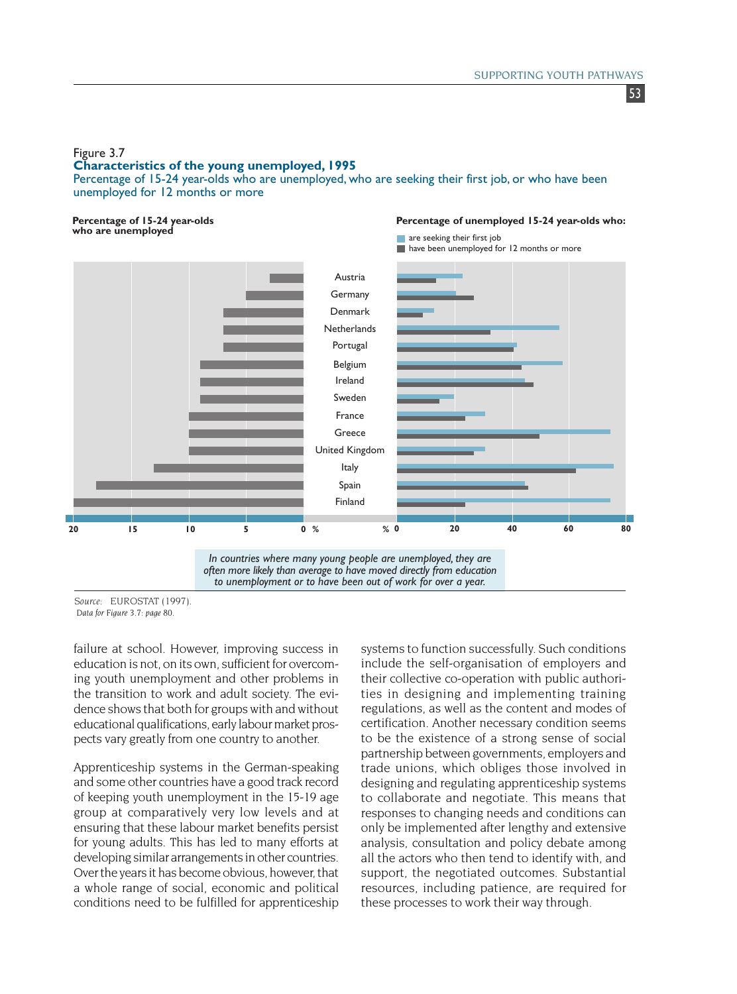**Percentage of unemployed 15-24 year-olds who:**

53

# Figure 3.7 **Characteristics of the young unemployed, 1995**

Percentage of 15-24 year-olds who are unemployed, who are seeking their first job, or who have been unemployed for 12 months or more

**20 15 10 5 0 % % 0 20 40 60 80** are seeking their first job have been unemployed for 12 months or more *In countries where many young people are unemployed, they are often more likely than average to have moved directly from education to unemployment or to have been out of work for over a year.* **who are unemployed** Finland Spain Italy Greece Ireland **Netherlands** Germany Austria Denmark United Kingdom Belgium Portugal Sweden France

*Source:* EUROSTAT (1997). *Data for Figure 3.7: page 80.*

**Percentage of 15-24 year-olds**

failure at school. However, improving success in education is not, on its own, sufficient for overcoming youth unemployment and other problems in the transition to work and adult society. The evidence shows that both for groups with and without educational qualifications, early labour market prospects vary greatly from one country to another.

Apprenticeship systems in the German-speaking and some other countries have a good track record of keeping youth unemployment in the 15-19 age group at comparatively very low levels and at ensuring that these labour market benefits persist for young adults. This has led to many efforts at developing similar arrangements in other countries. Over the years it has become obvious, however, that a whole range of social, economic and political conditions need to be fulfilled for apprenticeship systems to function successfully. Such conditions include the self-organisation of employers and their collective co-operation with public authorities in designing and implementing training regulations, as well as the content and modes of certification. Another necessary condition seems to be the existence of a strong sense of social partnership between governments, employers and trade unions, which obliges those involved in designing and regulating apprenticeship systems to collaborate and negotiate. This means that responses to changing needs and conditions can only be implemented after lengthy and extensive analysis, consultation and policy debate among all the actors who then tend to identify with, and support, the negotiated outcomes. Substantial resources, including patience, are required for these processes to work their way through.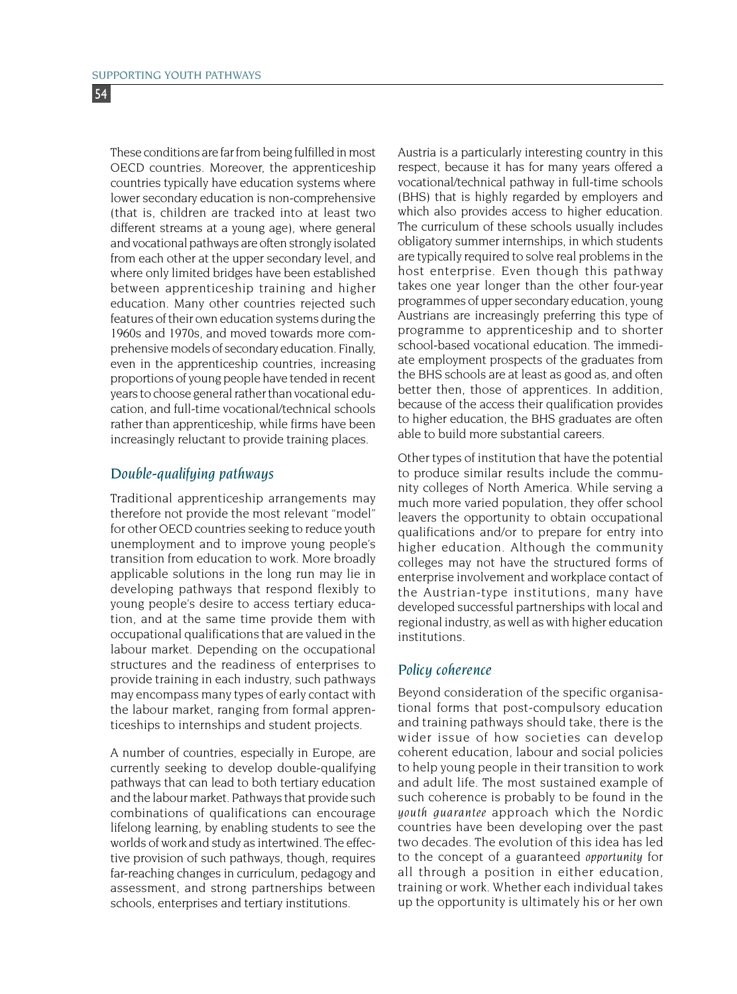These conditions are far from being fulfilled in most OECD countries. Moreover, the apprenticeship countries typically have education systems where lower secondary education is non-comprehensive (that is, children are tracked into at least two different streams at a young age), where general and vocational pathways are often strongly isolated from each other at the upper secondary level, and where only limited bridges have been established between apprenticeship training and higher education. Many other countries rejected such features of their own education systems during the 1960s and 1970s, and moved towards more comprehensive models of secondary education. Finally, even in the apprenticeship countries, increasing proportions of young people have tended in recent years to choose general rather than vocational education, and full-time vocational/technical schools rather than apprenticeship, while firms have been

increasingly reluctant to provide training places.

# *Double-qualifying pathways*

Traditional apprenticeship arrangements may therefore not provide the most relevant "model" for other OECD countries seeking to reduce youth unemployment and to improve young people's transition from education to work. More broadly applicable solutions in the long run may lie in developing pathways that respond flexibly to young people's desire to access tertiary education, and at the same time provide them with occupational qualifications that are valued in the labour market. Depending on the occupational structures and the readiness of enterprises to provide training in each industry, such pathways may encompass many types of early contact with the labour market, ranging from formal apprenticeships to internships and student projects.

A number of countries, especially in Europe, are currently seeking to develop double-qualifying pathways that can lead to both tertiary education and the labour market. Pathways that provide such combinations of qualifications can encourage lifelong learning, by enabling students to see the worlds of work and study as intertwined. The effective provision of such pathways, though, requires far-reaching changes in curriculum, pedagogy and assessment, and strong partnerships between schools, enterprises and tertiary institutions.

Austria is a particularly interesting country in this respect, because it has for many years offered a vocational/technical pathway in full-time schools (BHS) that is highly regarded by employers and which also provides access to higher education. The curriculum of these schools usually includes obligatory summer internships, in which students are typically required to solve real problems in the host enterprise. Even though this pathway takes one year longer than the other four-year programmes of upper secondary education, young Austrians are increasingly preferring this type of programme to apprenticeship and to shorter school-based vocational education. The immediate employment prospects of the graduates from the BHS schools are at least as good as, and often better then, those of apprentices. In addition, because of the access their qualification provides to higher education, the BHS graduates are often able to build more substantial careers.

Other types of institution that have the potential to produce similar results include the community colleges of North America. While serving a much more varied population, they offer school leavers the opportunity to obtain occupational qualifications and/or to prepare for entry into higher education. Although the community colleges may not have the structured forms of enterprise involvement and workplace contact of the Austrian-type institutions, many have developed successful partnerships with local and regional industry, as well as with higher education institutions.

# *Policy coherence*

Beyond consideration of the specific organisational forms that post-compulsory education and training pathways should take, there is the wider issue of how societies can develop coherent education, labour and social policies to help young people in their transition to work and adult life. The most sustained example of such coherence is probably to be found in the *youth guarantee* approach which the Nordic countries have been developing over the past two decades. The evolution of this idea has led to the concept of a guaranteed *opportunity* for all through a position in either education, training or work. Whether each individual takes up the opportunity is ultimately his or her own